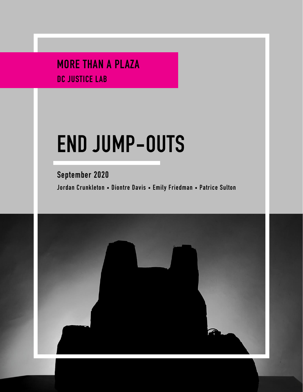MORE THAN A PLAZA DC JUSTICE LAB

# **END JUMP-OUTS**

September 2020 Jordan Crunkleton • Diontre Davis • Emily Friedman • Patrice Sulton

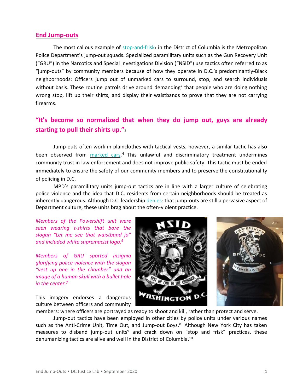### **End Jump-outs**

The most callous example of [stop-and-frisk](https://www.sptdc.com/nomorestopandfrisk)1 in the District of Columbia is the Metropolitan Police Department's jump-out squads. Specialized paramilitary units such as the Gun Recovery Unit ("GRU") in the Narcotics and Special Investigations Division ("NSID") use tactics often referred to as "jump-outs" by community members because of how they operate in D.C.'s predominantly-Black neighborhoods: Officers jump out of unmarked cars to surround, stop, and search individuals without basis. These routine patrols drive around demanding<sup>2</sup> that people who are doing nothing wrong stop, lift up their shirts, and display their waistbands to prove that they are not carrying firearms.

# **["It's become so normalized that when they do jump out, guys are alr](https://www.washingtonpost.com/local/washington-region-has-problems-with-police-shootings-and-racist-practices-too/2020/06/28/c94819a8-b7dd-11ea-a8da-693df3d7674a_story.html?carta-url=https%3A%2F%2Fs2.washingtonpost.com%2Fcar-ln-tr%2F2a2bcf1%2F5ef9c458fe1ff6482dafbca6%2F596b12bb9bbc0f403f8a93cb%2F14%2F47%2Feebbe498e942cafd3a118e1ec79e3b68&utm_campaign=wp_local_headlines&utm_medium=email&utm_source=newsletter&wpisrc=nl_lclheads)eady [starting to pull their shirts up."](https://www.washingtonpost.com/local/washington-region-has-problems-with-police-shootings-and-racist-practices-too/2020/06/28/c94819a8-b7dd-11ea-a8da-693df3d7674a_story.html?carta-url=https%3A%2F%2Fs2.washingtonpost.com%2Fcar-ln-tr%2F2a2bcf1%2F5ef9c458fe1ff6482dafbca6%2F596b12bb9bbc0f403f8a93cb%2F14%2F47%2Feebbe498e942cafd3a118e1ec79e3b68&utm_campaign=wp_local_headlines&utm_medium=email&utm_source=newsletter&wpisrc=nl_lclheads)**<sup>3</sup>

Jump-outs often work in plainclothes with tactical vests, however, a similar tactic has also been observed from **[marked cars.](https://www.youtube.com/watch?feature=youtu.be&v=cghtBX19cjA)**<sup>4</sup> This unlawful and discriminatory treatment undermines community trust in law enforcement and does not improve public safety. This tactic must be ended immediately to ensure the safety of our community members and to preserve the constitutionality of policing in D.C.

MPD's paramilitary units jump-out tactics are in line with a larger culture of celebrating police violence and the idea that D.C. residents from certain neighborhoods should be treated as inherently dangerous. Although D.C. leadership [denies](https://www.newsweek.com/jump-outs-dcs-scarier-version-stop-and-frisk-300151)s that jump-outs are still a pervasive aspect of Department culture, these units brag about the often-violent practice.

*Members of the Powershift unit were seen wearing t-shirts that bore the slogan "Let me see that waistband jo" and included white supremacist logo.<sup>6</sup>*

*Members of GRU sported insignia glorifying police violence with the slogan "vest up one in the chamber" and an image of a human skull with a bullet hole in the center.<sup>7</sup>*

This imagery endorses a dangerous culture between officers and community



members: where officers are portrayed as ready to shoot and kill, rather than protect and serve.

Jump-out tactics have been employed in other cities by police units under various names such as the Anti-Crime Unit, Time Out, and Jump-out Boys.<sup>8</sup> Although New York City has taken measures to disband jump-out units<sup>9</sup> and crack down on "stop and frisk" practices, these dehumanizing tactics are alive and well in the District of Columbia.<sup>10</sup>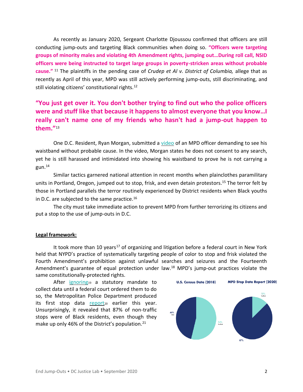As recently as January 2020, Sergeant Charlotte Djoussou confirmed that officers are still conducting jump-outs and targeting Black communities when doing so. **"[Officers were targeting](https://www.wusa9.com/article/news/local/dc/mpd-whistleblowers-testify-dc-council/65-76e2a8eb-efb3-453f-a1f2-3e7b099537fd)  [groups of minority males and violating 4th Amendment rights, jumping out](https://www.wusa9.com/article/news/local/dc/mpd-whistleblowers-testify-dc-council/65-76e2a8eb-efb3-453f-a1f2-3e7b099537fd)…During roll call, NSID [officers were being instructed to target large groups in poverty-stricken areas without probable](https://www.wusa9.com/article/news/local/dc/mpd-whistleblowers-testify-dc-council/65-76e2a8eb-efb3-453f-a1f2-3e7b099537fd)  [cause.](https://www.wusa9.com/article/news/local/dc/mpd-whistleblowers-testify-dc-council/65-76e2a8eb-efb3-453f-a1f2-3e7b099537fd)"** <sup>11</sup> The plaintiffs in the pending case of *Crudep et Al v. District of Columbia,* allege that as recently as April of this year, MPD was still actively performing jump-outs, still discriminating, and still violating citizens' constitutional rights.<sup>12</sup>

## **["You just get over it. You don't bother trying to find out who the police officers](https://www.newsweek.com/jump-outs-dcs-scarier-version-stop-and-frisk-300151)  [were and stuff like that because it happens to almost everyone that you know…I](https://www.newsweek.com/jump-outs-dcs-scarier-version-stop-and-frisk-300151)  [really can't name one of my friends who hasn't had a jump-out happen to](https://www.newsweek.com/jump-outs-dcs-scarier-version-stop-and-frisk-300151)  [them."](https://www.newsweek.com/jump-outs-dcs-scarier-version-stop-and-frisk-300151)**<sup>13</sup>

One D.C. Resident, Ryan Morgan, submitted a [video](https://m.youtube.com/watch?v=cghtBX19cjA&feature=youtu.be) of an MPD officer demanding to see his waistband without probable cause. In the video, Morgan states he does not consent to any search, yet he is still harassed and intimidated into showing his waistband to prove he is not carrying a  $g$ un. $^{14}$ 

Similar tactics garnered national attention in recent months when plainclothes paramilitary units in Portland, Oregon, jumped out to stop, frisk, and even detain protestors.<sup>15</sup> The terror felt by those in Portland parallels the terror routinely experienced by District residents when Black youths in D.C. are subjected to the same practice. 16

The city must take immediate action to prevent MPD from further terrorizing its citizens and put a stop to the use of jump-outs in D.C.

#### **Legal framework:**

It took more than 10 years<sup>17</sup> of organizing and litigation before a federal court in New York held that NYPD's practice of systematically targeting people of color to stop and frisk violated the Fourth Amendment's prohibition against unlawful searches and seizures and the Fourteenth Amendment's guarantee of equal protection under law.<sup>18</sup> MPD's jump-out practices violate the same constitutionally-protected rights.

After [ignoring](https://wamu.org/story/19/09/10/d-c-police-release-long-delayed-stop-and-frisk-data-showing-racial-disparities-in-stops/)19 a statutory mandate to collect data until a federal court ordered them to do so, the Metropolitan Police Department produced its first stop data  $\frac{report_{20}}{}$  $\frac{report_{20}}{}$  $\frac{report_{20}}{}$  earlier this year. Unsurprisingly, it revealed that 87% of non-traffic stops were of Black residents, even though they make up only 46% of the District's population.<sup>21</sup>

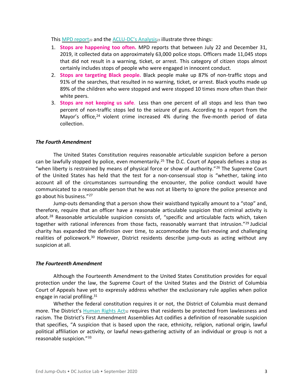This [MPD report](https://mpdc.dc.gov/sites/default/files/dc/sites/mpdc/publication/attachments/Stop%20Data%20Report.pdf)22 and the ACLU-[DC's Analysis](https://www.acludc.org/en/news/aclu-analysis-dc-stop-and-frisk-data-reveals-ineffective-policing-troubling-racial-disparities)23 illustrate three things:

- 1. **Stops are happening too often.** MPD reports that between July 22 and December 31, 2019, it collected data on approximately 63,000 police stops. Officers made 11,045 stops that did not result in a warning, ticket, or arrest. This category of citizen stops almost certainly includes stops of people who were engaged in innocent conduct.
- 2. **Stops are targeting Black people.** Black people make up 87% of non-traffic stops and 91% of the searches, that resulted in no warning, ticket, or arrest. Black youths made up 89% of the children who were stopped and were stopped 10 times more often than their white peers.
- 3. **Stops are not keeping us safe**. Less than one percent of all stops and less than two percent of non-traffic stops led to the seizure of guns. According to a report from the Mayor's office, $24$  violent crime increased 4% during the five-month period of data collection.

#### *The Fourth Amendment*

The United States Constitution requires reasonable articulable suspicion before a person can be lawfully stopped by police, even momentarily.<sup>25</sup> The D.C. Court of Appeals defines a stop as "when liberty is restrained by means of physical force or show of authority."<sup>26</sup> The Supreme Court of the United States has held that the test for a non-consensual stop is "whether, taking into account all of the circumstances surrounding the encounter, the police conduct would have communicated to a reasonable person that he was not at liberty to ignore the police presence and go about his business."<sup>27</sup>

Jump-outs demanding that a person show their waistband typically amount to a "stop" and, therefore, require that an officer have a reasonable articulable suspicion that criminal activity is afoot.<sup>28</sup> Reasonable articulable suspicion consists of, "specific and articulable facts which, taken together with rational inferences from those facts, reasonably warrant that intrusion."<sup>29</sup> Judicial charity has expanded the definition over time, to accommodate the fast-moving and challenging realities of policework.<sup>30</sup> However, District residents describe jump-outs as acting without any suspicion at all.

#### *The Fourteenth Amendment*

Although the Fourteenth Amendment to the United States Constitution provides for equal protection under the law, the Supreme Court of the United States and the District of Columbia Court of Appeals have yet to expressly address whether the exclusionary rule applies when police engage in racial profiling.<sup>31</sup>

Whether the federal constitution requires it or not, the District of Columbia must demand more. The District's [Human Rights](https://code.dccouncil.us/dc/council/code/titles/2/chapters/14/) Act<sub>32</sub> requires that residents be protected from lawlessness and racism. The District's First Amendment Assemblies Act codifies a definition of reasonable suspicion that specifies, "A suspicion that is based upon the race, ethnicity, religion, national origin, lawful political affiliation or activity, or lawful news-gathering activity of an individual or group is not a reasonable suspicion."33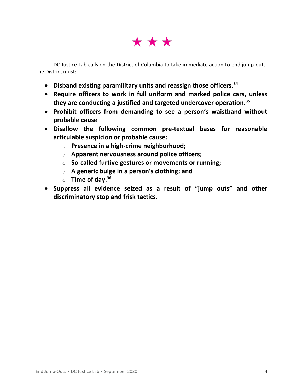

DC Justice Lab calls on the District of Columbia to take immediate action to end jump-outs. The District must:

- **Disband existing paramilitary units and reassign those officers. 34**
- **Require officers to work in full uniform and marked police cars, unless they are conducting a justified and targeted undercover operation.<sup>35</sup>**
- **Prohibit officers from demanding to see a person's waistband without probable cause**.
- **Disallow the following common pre-textual bases for reasonable articulable suspicion or probable cause:**
	- o **Presence in a high-crime neighborhood;**
	- o **Apparent nervousness around police officers;**
	- o **So-called furtive gestures or movements or running;**
	- o **A generic bulge in a person's clothing; and**
	- o **Time of day. 36**
- **Suppress all evidence seized as a result of "jump outs" and other discriminatory stop and frisk tactics.**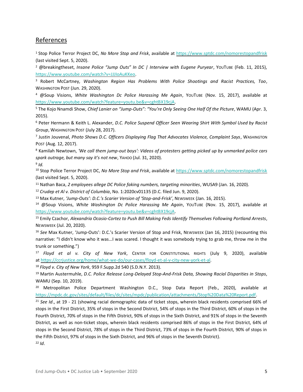## References

<sup>1</sup> Stop Police Terror Project DC, *No More Stop and Frisk*, available at <https://www.sptdc.com/nomorestopandfrisk> (last visited Sept. 5, 2020).

<sup>2</sup> @breakingtheset, *Insane Police "Jump Outs" In DC | Interview with Eugene Puryear*, YOUTUBE (Feb. 11, 2015), [https://www.youtube.com/watch?v=JJJIoAuKKeo.](https://www.youtube.com/watch?v=JJJIoAuKKeo)

<sup>3</sup> Robert McCartney, *Washington Region Has Problems With Police Shootings and Racist Practices, Too*, WASHINGTON POST (Jun. 29, 2020).

<sup>4</sup> @Soup Visions, *White Washington Dc Police Harassing Me Again*, YOUTUBE (Nov. 15, 2017), available at [https://www.youtube.com/watch?feature=youtu.be&v=cghtBX19cjA.](https://www.youtube.com/watch?feature=youtu.be&v=cghtBX19cjA)

<sup>5</sup> The Kojo Nnamdi Show, *Chief Lanier on "Jump-Outs": "You're Only Seeing One Half Of the Picture*, WAMU (Apr. 3, 2015).

<sup>6</sup> Peter Hermann & Keith L. Alexander, *D.C. Police Suspend Officer Seen Wearing Shirt With Symbol Used by Racist Group*, WASHINGTON POST (July 28, 2017).

7 Justin Jouvenal, *Photo Shows D.C. Officers Displaying Flag That Advocates Violence, Complaint Says*, WASHINGTON POST (Aug. 12, 2017).

<sup>8</sup> Kamilah Newtown, *'We call them jump-out boys': Videos of protesters getting picked up by unmarked police cars spark outrage, but many say it's not new*, YAHOO (Jul. 31, 2020).

#### 9 *Id.*

<sup>10</sup> Stop Police Terror Project DC, *No More Stop and Frisk*, available at <https://www.sptdc.com/nomorestopandfrisk> (last visited Sept. 5, 2020).

<sup>11</sup> Nathan Baca, *2 employees allege DC Police faking numbers, targeting minorities*, WUSA9 (Jan. 16, 2020).

<sup>12</sup> *Crudep et Al v. District of Columbia*, No. 1:2020cv01135 (D.C. filed Jun. 9, 2020).

<sup>13</sup> Max Kutner, *'Jump-Outs': D.C.'s Scarier Version of 'Stop-and-Frisk'*, NEWSWEEK (Jan. 16, 2015).

<sup>14</sup> @Soup Visions, *White Washington Dc Police Harassing Me Again*, YOUTUBE (Nov. 15, 2017), available at [https://www.youtube.com/watch?feature=youtu.be&v=cghtBX19cjA.](https://www.youtube.com/watch?feature=youtu.be&v=cghtBX19cjA)

<sup>15</sup> Emily Czachor, *Alexandria Ocasio-Cortez to Push Bill Making Feds Identify Themselves Following Portland Arrests*, NEWSWEEK (Jul. 20, 2020).

<sup>16</sup> *See* Max Kutner, 'Jump-Outs': D.C.'s Scarier Version of Stop and Frisk, NEWSWEEK (Jan 16, 2015) (recounting this narrative: "I didn't know who it was…I was scared. I thought it was somebody trying to grab me, throw me in the trunk or something.")

<sup>17</sup> *Floyd et al v. City of New York*, CENTER FOR CONSTITUTIONAL RIGHTS (July 9, 2020), available at [https://ccrjustice.org/home/what-we-do/our-cases/floyd-et-al-v-city-new-york-et-al.](https://ccrjustice.org/home/what-we-do/our-cases/floyd-et-al-v-city-new-york-et-al) 

<sup>18</sup> *Floyd v. City of New York*, 959 F.Supp.2d 540 (S.D.N.Y. 2013).

<sup>19</sup> Martin Austermuhle, *D.C. Police Release Long-Delayed Stop-And-Frisk Data, Showing Racial Disparities in Stops*, WAMU (Sep. 10, 2019).

<sup>20</sup> Metropolitan Police Department Washington D.C., Stop Data Report (Feb., 2020), available at [https://mpdc.dc.gov/sites/default/files/dc/sites/mpdc/publication/attachments/Stop%20Data%20Report.pdf.](https://mpdc.dc.gov/sites/default/files/dc/sites/mpdc/publication/attachments/Stop%20Data%20Report.pdf)

<sup>21</sup> *See Id*., at 19 - 21 (showing racial demographic data of ticket stops, wherein black residents comprised 66% of stops in the First District, 35% of stops in the Second District, 54% of stops in the Third District, 60% of stops in the Fourth District, 70% of stops in the Fifth District, 90% of stops in the Sixth District, and 91% of stops in the Seventh District, as well as non-ticket stops, wherein black residents comprised 86% of stops in the First District, 64% of stops in the Second District, 78% of stops in the Third District, 73% of stops in the Fourth District, 90% of stops in the Fifth District, 97% of stops in the Sixth District, and 96% of stops in the Seventh District). <sup>22</sup> *Id*.